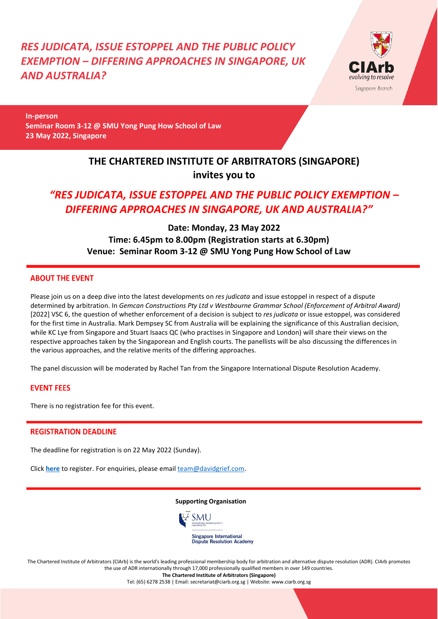*RES JUDICATA, ISSUE ESTOPPEL AND THE PUBLIC POLICY EXEMPTION – DIFFERING APPROACHES IN SINGAPORE, UK AND AUSTRALIA?*



**In-person Seminar Room 3-12 @ SMU Yong Pung How School of Law 23 May 2022, Singapore**

## **THE CHARTERED INSTITUTE OF ARBITRATORS (SINGAPORE) invites you to**

# *"RES JUDICATA, ISSUE ESTOPPEL AND THE PUBLIC POLICY EXEMPTION – DIFFERING APPROACHES IN SINGAPORE, UK AND AUSTRALIA?"*

## **Date: Monday, 23 May 2022 Time: 6.45pm to 8.00pm (Registration starts at 6.30pm) Venue: Seminar Room 3-12 @ SMU Yong Pung How School of Law**

### **ABOUT THE EVENT**

Please join us on a deep dive into the latest developments on *res judicata* and issue estoppel in respect of a dispute determined by arbitration. In *Gemcan Constructions Pty Ltd v Westbourne Grammar School (Enforcement of Arbitral Award)* [2022] VSC 6, the question of whether enforcement of a decision is subject to *res judicata* or issue estoppel, was considered for the first time in Australia. Mark Dempsey SC from Australia will be explaining the significance of this Australian decision, while KC Lye from Singapore and Stuart Isaacs QC (who practises in Singapore and London) will share their views on the respective approaches taken by the Singaporean and English courts. The panellists will be also discussing the differences in the various approaches, and the relative merits of the differing approaches.

The panel discussion will be moderated by Rachel Tan from the Singapore International Dispute Resolution Academy.

### **EVENT FEES**

There is no registration fee for this event.

### **REGISTRATION DEADLINE**

The deadline for registration is on 22 May 2022 (Sunday).

Click **[here](https://forms.gle/TCURvobSVdAX8buKA)** to register. For enquiries, please email [team@davidgrief.com](mailto:team@davidgrief.com).

#### **Supporting Organisation**



The Chartered Institute of Arbitrators (CIArb) is the world's leading professional membership body for arbitration and alternative dispute resolution (ADR). CIArb promotes the use of ADR internationally through 17,000 professionally qualified members in over 149 countries. **The Chartered Institute of Arbitrators (Singapore)**

Tel: (65) 6278 2538 | Email: secretariat@ciarb.org.sg | Website: www.ciarb.org.sg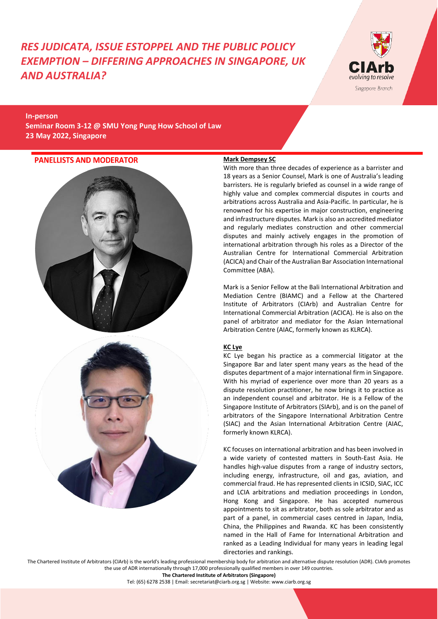# *RES JUDICATA, ISSUE ESTOPPEL AND THE PUBLIC POLICY EXEMPTION – DIFFERING APPROACHES IN SINGAPORE, UK AND AUSTRALIA?*



**In-person Seminar Room 3-12 @ SMU Yong Pung How School of Law 23 May 2022, Singapore**

## **PANELLISTS AND MODERATOR**





## **Mark Dempsey SC**

With more than three decades of experience as a barrister and 18 years as a Senior Counsel, Mark is one of Australia's leading barristers. He is regularly briefed as counsel in a wide range of highly value and complex commercial disputes in courts and arbitrations across Australia and Asia-Pacific. In particular, he is renowned for his expertise in major construction, engineering and infrastructure disputes. Mark is also an accredited mediator and regularly mediates construction and other commercial disputes and mainly actively engages in the promotion of international arbitration through his roles as a Director of the Australian Centre for International Commercial Arbitration (ACICA) and Chair of the Australian Bar Association International Committee (ABA).

Mark is a Senior Fellow at the Bali International Arbitration and Mediation Centre (BIAMC) and a Fellow at the Chartered Institute of Arbitrators (CIArb) and Australian Centre for International Commercial Arbitration (ACICA). He is also on the panel of arbitrator and mediator for the Asian International Arbitration Centre (AIAC, formerly known as KLRCA).

### **KC Lye**

KC Lye began his practice as a commercial litigator at the Singapore Bar and later spent many years as the head of the disputes department of a major international firm in Singapore. With his myriad of experience over more than 20 years as a dispute resolution practitioner, he now brings it to practice as an independent counsel and arbitrator. He is a Fellow of the Singapore Institute of Arbitrators (SIArb), and is on the panel of arbitrators of the Singapore International Arbitration Centre (SIAC) and the Asian International Arbitration Centre (AIAC, formerly known KLRCA).

KC focuses on international arbitration and has been involved in a wide variety of contested matters in South-East Asia. He handles high-value disputes from a range of industry sectors, including energy, infrastructure, oil and gas, aviation, and commercial fraud. He has represented clients in ICSID, SIAC, ICC and LCIA arbitrations and mediation proceedings in London, Hong Kong and Singapore. He has accepted numerous appointments to sit as arbitrator, both as sole arbitrator and as part of a panel, in commercial cases centred in Japan, India, China, the Philippines and Rwanda. KC has been consistently named in the Hall of Fame for International Arbitration and ranked as a Leading Individual for many years in leading legal directories and rankings.

The Chartered Institute of Arbitrators (CIArb) is the world's leading professional membership body for arbitration and alternative dispute resolution (ADR). CIArb promotes the use of ADR internationally through 17,000 professionally qualified members in over 149 countries.

**The Chartered Institute of Arbitrators (Singapore)**